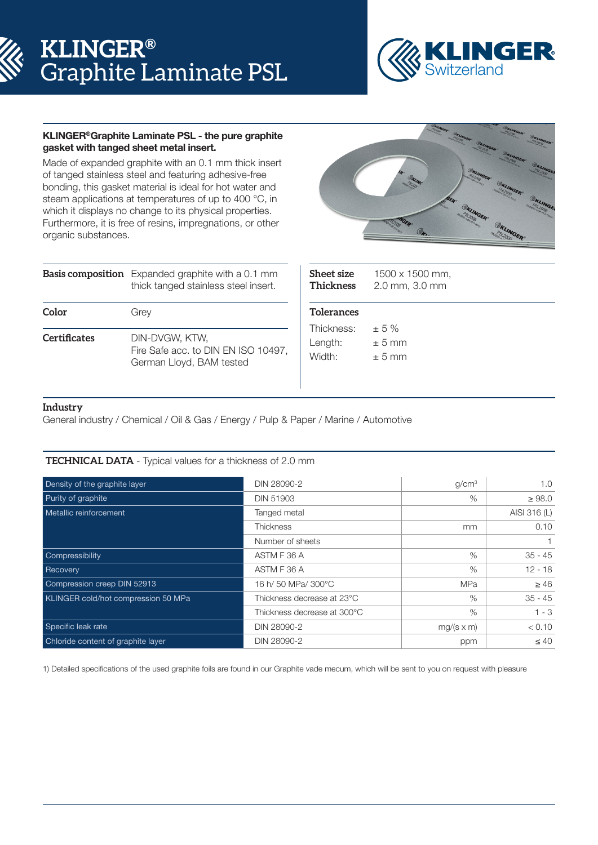



# KLINGER®Graphite Laminate PSL - the pure graphite gasket with tanged sheet metal insert.

Made of expanded graphite with an 0.1 mm thick insert of tanged stainless steel and featuring adhesive-free bonding, this gasket material is ideal for hot water and steam applications at temperatures of up to 400 °C, in which it displays no change to its physical properties. Furthermore, it is free of resins, impregnations, or other organic substances.



|                     | <b>Basis composition</b> Expanded graphite with a 0.1 mm<br>thick tanged stainless steel insert. |  |  |  |
|---------------------|--------------------------------------------------------------------------------------------------|--|--|--|
| Color               | Grey                                                                                             |  |  |  |
| <b>Certificates</b> | DIN-DVGW, KTW.<br>Fire Safe acc. to DIN EN ISO 10497,<br>German Lloyd, BAM tested                |  |  |  |

| <b>Sheet size</b><br><b>Thickness</b> | 1500 x 1500 mm,<br>2.0 mm, 3.0 mm |  |  |  |  |
|---------------------------------------|-----------------------------------|--|--|--|--|
| <b>Tolerances</b>                     |                                   |  |  |  |  |
| Thickness:                            | $\pm$ 5 %                         |  |  |  |  |
| Length:                               | $\pm$ 5 mm                        |  |  |  |  |
| Width:                                | $+5$ mm                           |  |  |  |  |
|                                       |                                   |  |  |  |  |

# **Industry**

General industry / Chemical / Oil & Gas / Energy / Pulp & Paper / Marine / Automotive

# **TECHNICAL DATA** - Typical values for a thickness of 2.0 mm

| Density of the graphite layer       | DIN 28090-2                 | q/cm <sup>3</sup> | 1.0          |
|-------------------------------------|-----------------------------|-------------------|--------------|
| Purity of graphite                  | <b>DIN 51903</b>            | $\%$              | $\geq 98.0$  |
| Metallic reinforcement              | Tanged metal                |                   | AISI 316 (L) |
|                                     | Thickness                   | <sub>mm</sub>     | 0.10         |
|                                     | Number of sheets            |                   |              |
| Compressibility                     | ASTM F 36 A                 | $\%$              | $35 - 45$    |
| Recovery                            | ASTM F 36 A                 | $\%$              | $12 - 18$    |
| Compression creep DIN 52913         | 16 h/ 50 MPa/ 300°C         | <b>MPa</b>        | $\geq 46$    |
| KLINGER cold/hot compression 50 MPa | Thickness decrease at 23°C  | $\%$              | $35 - 45$    |
|                                     | Thickness decrease at 300°C | $\%$              | $1 - 3$      |
| Specific leak rate                  | DIN 28090-2                 | $mg/(s \times m)$ | < 0.10       |
| Chloride content of graphite layer  | DIN 28090-2                 | ppm               | $\leq 40$    |

1) Detailed specifications of the used graphite foils are found in our Graphite vade mecum, which will be sent to you on request with pleasure